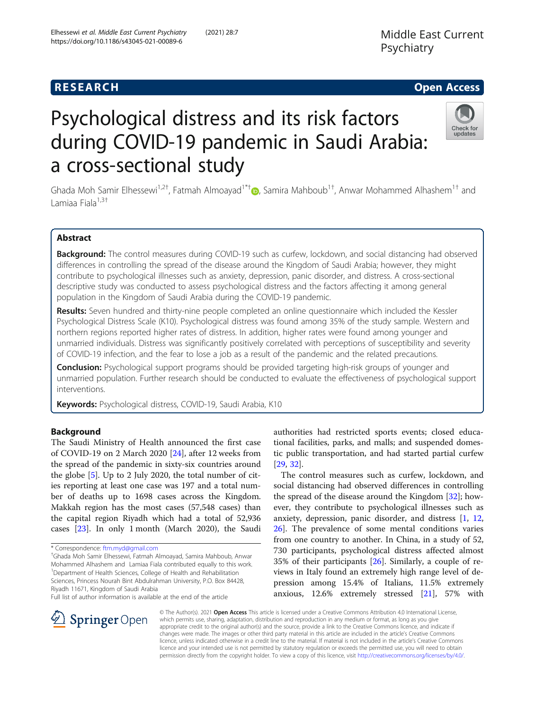## **RESEARCH CHE Open Access**

Check for updates

# Psychological distress and its risk factors during COVID-19 pandemic in Saudi Arabia: a cross-sectional study

Ghada Moh Samir Elhessewi<sup>1,2†</sup>, Fatmah Almoayad<sup>1\*†</sup>®, Samira Mahboub<sup>1†</sup>, Anwar Mohammed Alhashem<sup>1†</sup> and Lamiaa Fiala<sup>1,3†</sup>

## Abstract

Background: The control measures during COVID-19 such as curfew, lockdown, and social distancing had observed differences in controlling the spread of the disease around the Kingdom of Saudi Arabia; however, they might contribute to psychological illnesses such as anxiety, depression, panic disorder, and distress. A cross-sectional descriptive study was conducted to assess psychological distress and the factors affecting it among general population in the Kingdom of Saudi Arabia during the COVID-19 pandemic.

Results: Seven hundred and thirty-nine people completed an online questionnaire which included the Kessler Psychological Distress Scale (K10). Psychological distress was found among 35% of the study sample. Western and northern regions reported higher rates of distress. In addition, higher rates were found among younger and unmarried individuals. Distress was significantly positively correlated with perceptions of susceptibility and severity of COVID-19 infection, and the fear to lose a job as a result of the pandemic and the related precautions.

**Conclusion:** Psychological support programs should be provided targeting high-risk groups of younger and unmarried population. Further research should be conducted to evaluate the effectiveness of psychological support interventions.

Keywords: Psychological distress, COVID-19, Saudi Arabia, K10

## Background

The Saudi Ministry of Health announced the first case of COVID-19 on 2 March 2020 [\[24](#page-6-0)], after 12 weeks from the spread of the pandemic in sixty-six countries around the globe [[5\]](#page-6-0). Up to 2 July 2020, the total number of cities reporting at least one case was 197 and a total number of deaths up to 1698 cases across the Kingdom. Makkah region has the most cases (57,548 cases) than the capital region Riyadh which had a total of 52,936 cases [\[23\]](#page-6-0). In only 1 month (March 2020), the Saudi

Ghada Moh Samir Elhessewi, Fatmah Almoayad, Samira Mahboub, Anwar Mohammed Alhashem and Lamiaa Fiala contributed equally to this work. <sup>1</sup>Department of Health Sciences, College of Health and Rehabilitation Sciences, Princess Nourah Bint Abdulrahman University, P.O. Box 84428, Riyadh 11671, Kingdom of Saudi Arabia

Full list of author information is available at the end of the article



The control measures such as curfew, lockdown, and social distancing had observed differences in controlling the spread of the disease around the Kingdom  $[32]$  $[32]$  $[32]$ ; however, they contribute to psychological illnesses such as anxiety, depression, panic disorder, and distress [\[1,](#page-6-0) [12](#page-6-0), [26\]](#page-6-0). The prevalence of some mental conditions varies from one country to another. In China, in a study of 52, 730 participants, psychological distress affected almost 35% of their participants [\[26\]](#page-6-0). Similarly, a couple of reviews in Italy found an extremely high range level of depression among 15.4% of Italians, 11.5% extremely anxious, 12.6% extremely stressed [[21](#page-6-0)], 57% with



© The Author(s). 2021 Open Access This article is licensed under a Creative Commons Attribution 4.0 International License, which permits use, sharing, adaptation, distribution and reproduction in any medium or format, as long as you give appropriate credit to the original author(s) and the source, provide a link to the Creative Commons licence, and indicate if changes were made. The images or other third party material in this article are included in the article's Creative Commons licence, unless indicated otherwise in a credit line to the material. If material is not included in the article's Creative Commons licence and your intended use is not permitted by statutory regulation or exceeds the permitted use, you will need to obtain permission directly from the copyright holder. To view a copy of this licence, visit <http://creativecommons.org/licenses/by/4.0/>.

<sup>\*</sup> Correspondence: [ftm.myd@gmail.com](mailto:ftm.myd@gmail.com) †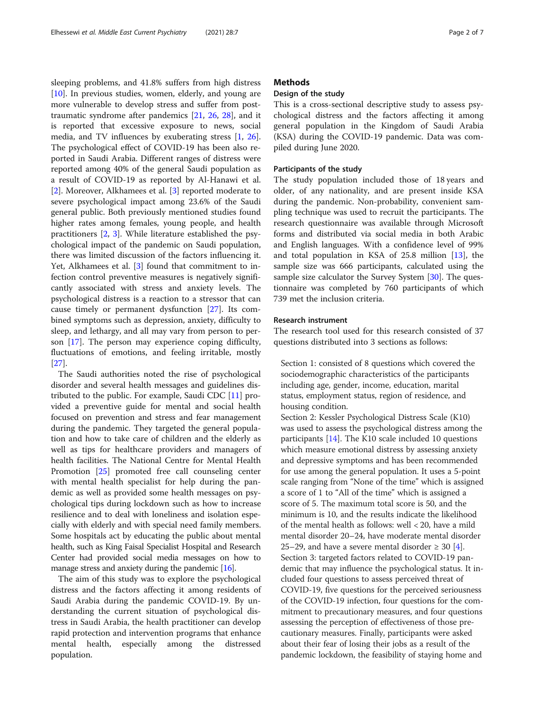sleeping problems, and 41.8% suffers from high distress [[10\]](#page-6-0). In previous studies, women, elderly, and young are more vulnerable to develop stress and suffer from posttraumatic syndrome after pandemics [\[21,](#page-6-0) [26,](#page-6-0) [28](#page-6-0)], and it is reported that excessive exposure to news, social media, and TV influences by exuberating stress [\[1](#page-6-0), [26](#page-6-0)]. The psychological effect of COVID-19 has been also reported in Saudi Arabia. Different ranges of distress were reported among 40% of the general Saudi population as a result of COVID-19 as reported by Al-Hanawi et al. [[2\]](#page-6-0). Moreover, Alkhamees et al. [[3\]](#page-6-0) reported moderate to severe psychological impact among 23.6% of the Saudi general public. Both previously mentioned studies found higher rates among females, young people, and health practitioners [\[2,](#page-6-0) [3\]](#page-6-0). While literature established the psychological impact of the pandemic on Saudi population, there was limited discussion of the factors influencing it. Yet, Alkhamees et al. [[3\]](#page-6-0) found that commitment to infection control preventive measures is negatively significantly associated with stress and anxiety levels. The psychological distress is a reaction to a stressor that can cause timely or permanent dysfunction [[27](#page-6-0)]. Its combined symptoms such as depression, anxiety, difficulty to sleep, and lethargy, and all may vary from person to person [[17](#page-6-0)]. The person may experience coping difficulty, fluctuations of emotions, and feeling irritable, mostly [[27\]](#page-6-0).

The Saudi authorities noted the rise of psychological disorder and several health messages and guidelines distributed to the public. For example, Saudi CDC [\[11\]](#page-6-0) provided a preventive guide for mental and social health focused on prevention and stress and fear management during the pandemic. They targeted the general population and how to take care of children and the elderly as well as tips for healthcare providers and managers of health facilities. The National Centre for Mental Health Promotion [[25](#page-6-0)] promoted free call counseling center with mental health specialist for help during the pandemic as well as provided some health messages on psychological tips during lockdown such as how to increase resilience and to deal with loneliness and isolation especially with elderly and with special need family members. Some hospitals act by educating the public about mental health, such as King Faisal Specialist Hospital and Research Center had provided social media messages on how to manage stress and anxiety during the pandemic [[16](#page-6-0)].

The aim of this study was to explore the psychological distress and the factors affecting it among residents of Saudi Arabia during the pandemic COVID-19. By understanding the current situation of psychological distress in Saudi Arabia, the health practitioner can develop rapid protection and intervention programs that enhance mental health, especially among the distressed population.

## **Methods**

## Design of the study

This is a cross-sectional descriptive study to assess psychological distress and the factors affecting it among general population in the Kingdom of Saudi Arabia (KSA) during the COVID-19 pandemic. Data was compiled during June 2020.

#### Participants of the study

The study population included those of 18 years and older, of any nationality, and are present inside KSA during the pandemic. Non-probability, convenient sampling technique was used to recruit the participants. The research questionnaire was available through Microsoft forms and distributed via social media in both Arabic and English languages. With a confidence level of 99% and total population in KSA of 25.8 million [[13](#page-6-0)], the sample size was 666 participants, calculated using the sample size calculator the Survey System [[30\]](#page-6-0). The questionnaire was completed by 760 participants of which 739 met the inclusion criteria.

## Research instrument

The research tool used for this research consisted of 37 questions distributed into 3 sections as follows:

Section 1: consisted of 8 questions which covered the sociodemographic characteristics of the participants including age, gender, income, education, marital status, employment status, region of residence, and housing condition.

Section 2: Kessler Psychological Distress Scale (K10) was used to assess the psychological distress among the participants [[14\]](#page-6-0). The K10 scale included 10 questions which measure emotional distress by assessing anxiety and depressive symptoms and has been recommended for use among the general population. It uses a 5-point scale ranging from "None of the time" which is assigned a score of 1 to "All of the time" which is assigned a score of 5. The maximum total score is 50, and the minimum is 10, and the results indicate the likelihood of the mental health as follows: well < 20, have a mild mental disorder 20–24, have moderate mental disorder 25–29, and have a severe mental disorder  $\geq$  30 [[4](#page-6-0)]. Section 3: targeted factors related to COVID-19 pandemic that may influence the psychological status. It included four questions to assess perceived threat of COVID-19, five questions for the perceived seriousness of the COVID-19 infection, four questions for the commitment to precautionary measures, and four questions assessing the perception of effectiveness of those precautionary measures. Finally, participants were asked about their fear of losing their jobs as a result of the pandemic lockdown, the feasibility of staying home and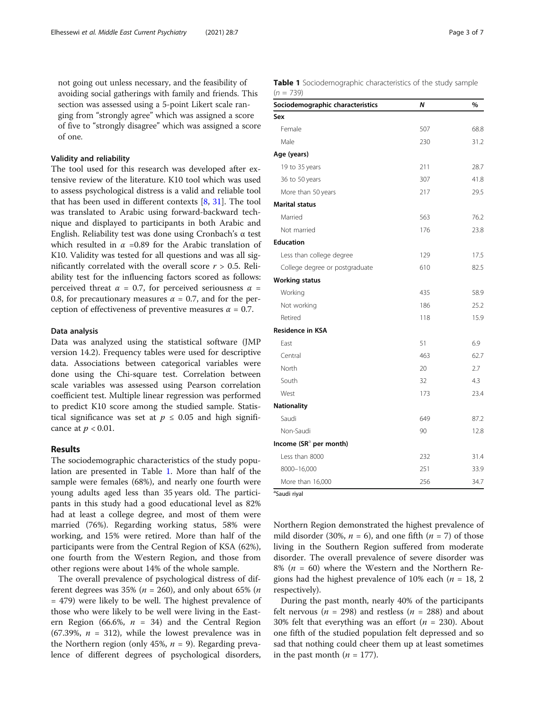not going out unless necessary, and the feasibility of avoiding social gatherings with family and friends. This section was assessed using a 5-point Likert scale ranging from "strongly agree" which was assigned a score of five to "strongly disagree" which was assigned a score of one.

### Validity and reliability

The tool used for this research was developed after extensive review of the literature. K10 tool which was used to assess psychological distress is a valid and reliable tool that has been used in different contexts  $[8, 31]$  $[8, 31]$  $[8, 31]$  $[8, 31]$ . The tool was translated to Arabic using forward-backward technique and displayed to participants in both Arabic and English. Reliability test was done using Cronbach's α test which resulted in  $\alpha$  =0.89 for the Arabic translation of K10. Validity was tested for all questions and was all significantly correlated with the overall score  $r > 0.5$ . Reliability test for the influencing factors scored as follows: perceived threat  $\alpha = 0.7$ , for perceived seriousness  $\alpha =$ 0.8, for precautionary measures  $\alpha = 0.7$ , and for the perception of effectiveness of preventive measures  $\alpha = 0.7$ .

#### Data analysis

Data was analyzed using the statistical software (JMP version 14.2). Frequency tables were used for descriptive data. Associations between categorical variables were done using the Chi-square test. Correlation between scale variables was assessed using Pearson correlation coefficient test. Multiple linear regression was performed to predict K10 score among the studied sample. Statistical significance was set at  $p \leq 0.05$  and high significance at  $p < 0.01$ .

#### Results

The sociodemographic characteristics of the study population are presented in Table 1. More than half of the sample were females (68%), and nearly one fourth were young adults aged less than 35 years old. The participants in this study had a good educational level as 82% had at least a college degree, and most of them were married (76%). Regarding working status, 58% were working, and 15% were retired. More than half of the participants were from the Central Region of KSA (62%), one fourth from the Western Region, and those from other regions were about 14% of the whole sample.

The overall prevalence of psychological distress of different degrees was 35% ( $n = 260$ ), and only about 65% ( $n = 160$ = 479) were likely to be well. The highest prevalence of those who were likely to be well were living in the Eastern Region (66.6%,  $n = 34$ ) and the Central Region (67.39%,  $n = 312$ ), while the lowest prevalence was in the Northern region (only 45%,  $n = 9$ ). Regarding prevalence of different degrees of psychological disorders, Table 1 Sociodemographic characteristics of the study sample  $(n = 739)$ 

| Sociodemographic characteristics   | N   | %    |
|------------------------------------|-----|------|
| Sex                                |     |      |
| Female                             | 507 | 68.8 |
| Male                               | 230 | 31.2 |
| Age (years)                        |     |      |
| 19 to 35 years                     | 211 | 28.7 |
| 36 to 50 years                     | 307 | 41.8 |
| More than 50 years                 | 217 | 29.5 |
| <b>Marital status</b>              |     |      |
| Married                            | 563 | 76.2 |
| Not married                        | 176 | 23.8 |
| <b>Education</b>                   |     |      |
| Less than college degree           | 129 | 17.5 |
| College degree or postgraduate     | 610 | 82.5 |
| <b>Working status</b>              |     |      |
| Working                            | 435 | 58.9 |
| Not working                        | 186 | 25.2 |
| Retired                            | 118 | 15.9 |
| <b>Residence in KSA</b>            |     |      |
| East                               | 51  | 6.9  |
| Central                            | 463 | 62.7 |
| North                              | 20  | 2.7  |
| South                              | 32  | 4.3  |
| West                               | 173 | 23.4 |
| <b>Nationality</b>                 |     |      |
| Saudi                              | 649 | 87.2 |
| Non-Saudi                          | 90  | 12.8 |
| Income (SR <sup>a</sup> per month) |     |      |
| Less than 8000                     | 232 | 31.4 |
| 8000-16,000                        | 251 | 33.9 |
| More than 16,000                   | 256 | 34.7 |

Saudi riyal

Northern Region demonstrated the highest prevalence of mild disorder (30%,  $n = 6$ ), and one fifth ( $n = 7$ ) of those living in the Southern Region suffered from moderate disorder. The overall prevalence of severe disorder was 8% ( $n = 60$ ) where the Western and the Northern Regions had the highest prevalence of 10% each ( $n = 18, 2$ ) respectively).

During the past month, nearly 40% of the participants felt nervous ( $n = 298$ ) and restless ( $n = 288$ ) and about 30% felt that everything was an effort ( $n = 230$ ). About one fifth of the studied population felt depressed and so sad that nothing could cheer them up at least sometimes in the past month  $(n = 177)$ .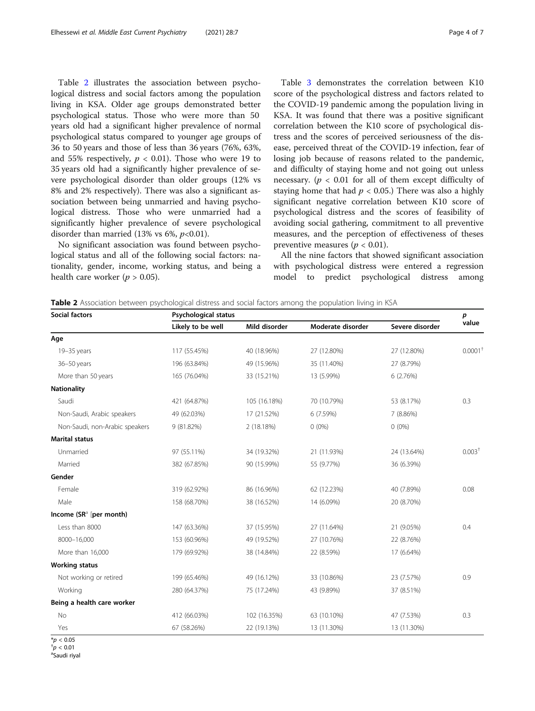Table 2 illustrates the association between psychological distress and social factors among the population living in KSA. Older age groups demonstrated better psychological status. Those who were more than 50 years old had a significant higher prevalence of normal psychological status compared to younger age groups of 36 to 50 years and those of less than 36 years (76%, 63%, and 55% respectively,  $p < 0.01$ ). Those who were 19 to 35 years old had a significantly higher prevalence of severe psychological disorder than older groups (12% vs 8% and 2% respectively). There was also a significant association between being unmarried and having psychological distress. Those who were unmarried had a significantly higher prevalence of severe psychological disorder than married (13% vs 6%,  $p<0.01$ ).

No significant association was found between psychological status and all of the following social factors: nationality, gender, income, working status, and being a health care worker ( $p > 0.05$ ).

Table [3](#page-4-0) demonstrates the correlation between K10 score of the psychological distress and factors related to the COVID-19 pandemic among the population living in KSA. It was found that there was a positive significant correlation between the K10 score of psychological distress and the scores of perceived seriousness of the disease, perceived threat of the COVID-19 infection, fear of losing job because of reasons related to the pandemic, and difficulty of staying home and not going out unless necessary. ( $p < 0.01$  for all of them except difficulty of staying home that had  $p < 0.05$ .) There was also a highly significant negative correlation between K10 score of psychological distress and the scores of feasibility of avoiding social gathering, commitment to all preventive measures, and the perception of effectiveness of theses preventive measures ( $p < 0.01$ ).

All the nine factors that showed significant association with psychological distress were entered a regression model to predict psychological distress among

Table 2 Association between psychological distress and social factors among the population living in KSA

| <b>Social factors</b>          | <b>Psychological status</b> |               |                   |                 |                       |  |
|--------------------------------|-----------------------------|---------------|-------------------|-----------------|-----------------------|--|
|                                | Likely to be well           | Mild disorder | Moderate disorder | Severe disorder | value                 |  |
| Age                            |                             |               |                   |                 |                       |  |
| 19-35 years                    | 117 (55.45%)                | 40 (18.96%)   | 27 (12.80%)       | 27 (12.80%)     | $0.0001$ <sup>+</sup> |  |
| 36-50 years                    | 196 (63.84%)                | 49 (15.96%)   | 35 (11.40%)       | 27 (8.79%)      |                       |  |
| More than 50 years             | 165 (76.04%)                | 33 (15.21%)   | 13 (5.99%)        | 6 (2.76%)       |                       |  |
| <b>Nationality</b>             |                             |               |                   |                 |                       |  |
| Saudi                          | 421 (64.87%)                | 105 (16.18%)  | 70 (10.79%)       | 53 (8.17%)      | 0.3                   |  |
| Non-Saudi, Arabic speakers     | 49 (62.03%)                 | 17 (21.52%)   | 6 (7.59%)         | 7 (8.86%)       |                       |  |
| Non-Saudi, non-Arabic speakers | 9 (81.82%)                  | 2 (18.18%)    | $0(0\%)$          | $0(0\%)$        |                       |  |
| <b>Marital status</b>          |                             |               |                   |                 |                       |  |
| Unmarried                      | 97 (55.11%)                 | 34 (19.32%)   | 21 (11.93%)       | 24 (13.64%)     | $0.003+$              |  |
| Married                        | 382 (67.85%)                | 90 (15.99%)   | 55 (9.77%)        | 36 (6.39%)      |                       |  |
| Gender                         |                             |               |                   |                 |                       |  |
| Female                         | 319 (62.92%)                | 86 (16.96%)   | 62 (12.23%)       | 40 (7.89%)      | 0.08                  |  |
| Male                           | 158 (68.70%)                | 38 (16.52%)   | 14 (6.09%)        | 20 (8.70%)      |                       |  |
| Income $(SRa$ [per month)      |                             |               |                   |                 |                       |  |
| Less than 8000                 | 147 (63.36%)                | 37 (15.95%)   | 27 (11.64%)       | 21 (9.05%)      | 0.4                   |  |
| 8000-16,000                    | 153 (60.96%)                | 49 (19.52%)   | 27 (10.76%)       | 22 (8.76%)      |                       |  |
| More than 16,000               | 179 (69.92%)                | 38 (14.84%)   | 22 (8.59%)        | 17 (6.64%)      |                       |  |
| <b>Working status</b>          |                             |               |                   |                 |                       |  |
| Not working or retired         | 199 (65.46%)                | 49 (16.12%)   | 33 (10.86%)       | 23 (7.57%)      | 0.9                   |  |
| Working                        | 280 (64.37%)                | 75 (17.24%)   | 43 (9.89%)        | 37 (8.51%)      |                       |  |
| Being a health care worker     |                             |               |                   |                 |                       |  |
| No                             | 412 (66.03%)                | 102 (16.35%)  | 63 (10.10%)       | 47 (7.53%)      | 0.3                   |  |
| Yes                            | 67 (58.26%)                 | 22 (19.13%)   | 13 (11.30%)       | 13 (11.30%)     |                       |  |

 $*$ *p* < 0.05

 $\sigma$   $< 0.01$ 

Saudi riyal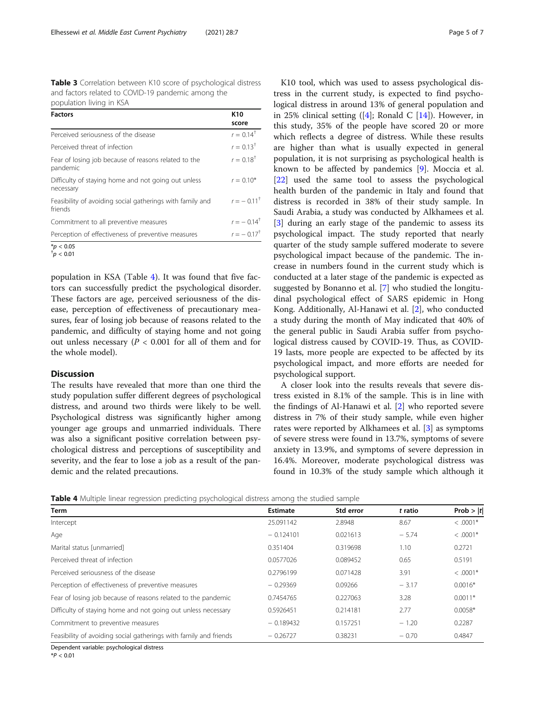<span id="page-4-0"></span>Table 3 Correlation between K10 score of psychological distress and factors related to COVID-19 pandemic among the population living in KSA

| <b>Factors</b>                                                       | K <sub>10</sub><br>score |
|----------------------------------------------------------------------|--------------------------|
| Perceived seriousness of the disease                                 | $r = 0.14^{\dagger}$     |
| Perceived threat of infection                                        | $r = 0.13^{+}$           |
| Fear of losing job because of reasons related to the<br>pandemic     | $r = 0.18^{+}$           |
| Difficulty of staying home and not going out unless<br>necessary     | $r = 0.10*$              |
| Feasibility of avoiding social gatherings with family and<br>friends | $r = -0.11^+$            |
| Commitment to all preventive measures                                | $r = -0.14^{\dagger}$    |
| Perception of effectiveness of preventive measures                   | $r = -0.17$ <sup>+</sup> |
| $*_{n}$ $\geq$ 0.05                                                  |                          |

 $*_{p}$  < 0.05<br> $*_{p}$  < 0.01

population in KSA (Table 4). It was found that five factors can successfully predict the psychological disorder. These factors are age, perceived seriousness of the disease, perception of effectiveness of precautionary measures, fear of losing job because of reasons related to the pandemic, and difficulty of staying home and not going out unless necessary ( $P < 0.001$  for all of them and for the whole model).

## **Discussion**

The results have revealed that more than one third the study population suffer different degrees of psychological distress, and around two thirds were likely to be well. Psychological distress was significantly higher among younger age groups and unmarried individuals. There was also a significant positive correlation between psychological distress and perceptions of susceptibility and severity, and the fear to lose a job as a result of the pandemic and the related precautions.

K10 tool, which was used to assess psychological distress in the current study, is expected to find psychological distress in around 13% of general population and in 25% clinical setting  $([4];$  $([4];$  $([4];$  Ronald C  $[14]$  $[14]$ ). However, in this study, 35% of the people have scored 20 or more which reflects a degree of distress. While these results are higher than what is usually expected in general population, it is not surprising as psychological health is known to be affected by pandemics [\[9](#page-6-0)]. Moccia et al. [[22\]](#page-6-0) used the same tool to assess the psychological health burden of the pandemic in Italy and found that distress is recorded in 38% of their study sample. In Saudi Arabia, a study was conducted by Alkhamees et al. [[3\]](#page-6-0) during an early stage of the pandemic to assess its psychological impact. The study reported that nearly quarter of the study sample suffered moderate to severe psychological impact because of the pandemic. The increase in numbers found in the current study which is conducted at a later stage of the pandemic is expected as suggested by Bonanno et al. [[7\]](#page-6-0) who studied the longitudinal psychological effect of SARS epidemic in Hong Kong. Additionally, Al-Hanawi et al. [[2\]](#page-6-0), who conducted a study during the month of May indicated that 40% of the general public in Saudi Arabia suffer from psychological distress caused by COVID-19. Thus, as COVID-19 lasts, more people are expected to be affected by its psychological impact, and more efforts are needed for psychological support.

A closer look into the results reveals that severe distress existed in 8.1% of the sample. This is in line with the findings of Al-Hanawi et al. [[2\]](#page-6-0) who reported severe distress in 7% of their study sample, while even higher rates were reported by Alkhamees et al. [\[3](#page-6-0)] as symptoms of severe stress were found in 13.7%, symptoms of severe anxiety in 13.9%, and symptoms of severe depression in 16.4%. Moreover, moderate psychological distress was found in 10.3% of the study sample which although it

|  |  |  |  |  |  | Table 4 Multiple linear regression predicting psychological distress among the studied sample |
|--|--|--|--|--|--|-----------------------------------------------------------------------------------------------|
|--|--|--|--|--|--|-----------------------------------------------------------------------------------------------|

| Term                                                              | <b>Estimate</b> | Std error | t ratio | Prob $>  t $ |
|-------------------------------------------------------------------|-----------------|-----------|---------|--------------|
| Intercept                                                         | 25.091142       | 2.8948    | 8.67    | $<.0001*$    |
| Age                                                               | $-0.124101$     | 0.021613  | $-5.74$ | $<.0001*$    |
| Marital status [unmarried]                                        | 0.351404        | 0.319698  | 1.10    | 0.2721       |
| Perceived threat of infection                                     | 0.0577026       | 0.089452  | 0.65    | 0.5191       |
| Perceived seriousness of the disease                              | 0.2796199       | 0.071428  | 3.91    | $<.0001*$    |
| Perception of effectiveness of preventive measures                | $-0.29369$      | 0.09266   | $-3.17$ | $0.0016*$    |
| Fear of losing job because of reasons related to the pandemic     | 0.7454765       | 0.227063  | 3.28    | $0.0011*$    |
| Difficulty of staying home and not going out unless necessary     | 0.5926451       | 0.214181  | 2.77    | $0.0058*$    |
| Commitment to preventive measures                                 | $-0.189432$     | 0.157251  | $-1.20$ | 0.2287       |
| Feasibility of avoiding social gatherings with family and friends | $-0.26727$      | 0.38231   | $-0.70$ | 0.4847       |

Dependent variable: psychological distress

 $*P < 0.01$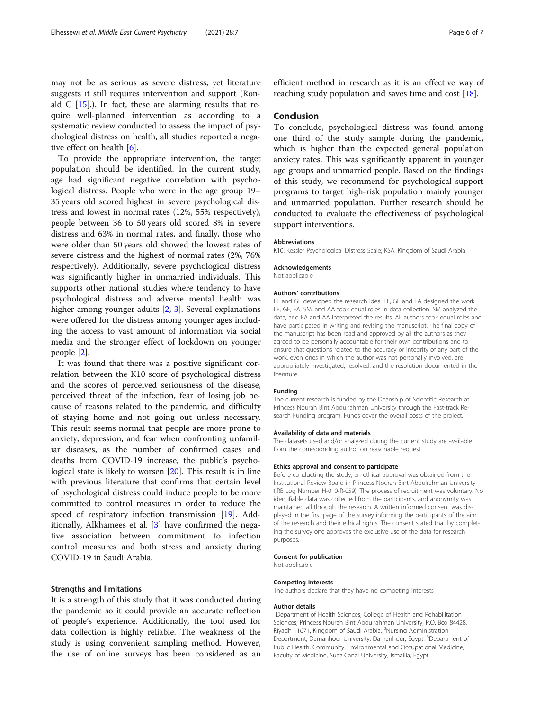may not be as serious as severe distress, yet literature suggests it still requires intervention and support (Ronald  $C$  [\[15\]](#page-6-0).). In fact, these are alarming results that require well-planned intervention as according to a systematic review conducted to assess the impact of psychological distress on health, all studies reported a negative effect on health [[6\]](#page-6-0).

To provide the appropriate intervention, the target population should be identified. In the current study, age had significant negative correlation with psychological distress. People who were in the age group 19– 35 years old scored highest in severe psychological distress and lowest in normal rates (12%, 55% respectively), people between 36 to 50 years old scored 8% in severe distress and 63% in normal rates, and finally, those who were older than 50 years old showed the lowest rates of severe distress and the highest of normal rates (2%, 76% respectively). Additionally, severe psychological distress was significantly higher in unmarried individuals. This supports other national studies where tendency to have psychological distress and adverse mental health was higher among younger adults [[2,](#page-6-0) [3\]](#page-6-0). Several explanations were offered for the distress among younger ages including the access to vast amount of information via social media and the stronger effect of lockdown on younger people [[2\]](#page-6-0).

It was found that there was a positive significant correlation between the K10 score of psychological distress and the scores of perceived seriousness of the disease, perceived threat of the infection, fear of losing job because of reasons related to the pandemic, and difficulty of staying home and not going out unless necessary. This result seems normal that people are more prone to anxiety, depression, and fear when confronting unfamiliar diseases, as the number of confirmed cases and deaths from COVID-19 increase, the public's psychological state is likely to worsen [\[20](#page-6-0)]. This result is in line with previous literature that confirms that certain level of psychological distress could induce people to be more committed to control measures in order to reduce the speed of respiratory infection transmission [\[19\]](#page-6-0). Additionally, Alkhamees et al. [\[3](#page-6-0)] have confirmed the negative association between commitment to infection control measures and both stress and anxiety during COVID-19 in Saudi Arabia.

#### Strengths and limitations

It is a strength of this study that it was conducted during the pandemic so it could provide an accurate reflection of people's experience. Additionally, the tool used for data collection is highly reliable. The weakness of the study is using convenient sampling method. However, the use of online surveys has been considered as an

efficient method in research as it is an effective way of reaching study population and saves time and cost [[18\]](#page-6-0).

## Conclusion

To conclude, psychological distress was found among one third of the study sample during the pandemic, which is higher than the expected general population anxiety rates. This was significantly apparent in younger age groups and unmarried people. Based on the findings of this study, we recommend for psychological support programs to target high-risk population mainly younger and unmarried population. Further research should be conducted to evaluate the effectiveness of psychological support interventions.

#### Abbreviations

K10: Kessler Psychological Distress Scale; KSA: Kingdom of Saudi Arabia

## Acknowledgements

Not applicable

#### Authors' contributions

LF and GE developed the research idea. LF, GE and FA designed the work. LF, GE, FA, SM, and AA took equal roles in data collection. SM analyzed the data, and FA and AA interpreted the results. All authors took equal roles and have participated in writing and revising the manuscript. The final copy of the manuscript has been read and approved by all the authors as they agreed to be personally accountable for their own contributions and to ensure that questions related to the accuracy or integrity of any part of the work, even ones in which the author was not personally involved, are appropriately investigated, resolved, and the resolution documented in the literature.

#### Funding

The current research is funded by the Deanship of Scientific Research at Princess Nourah Bint Abdulrahman University through the Fast-track Research Funding program. Funds cover the overall costs of the project.

#### Availability of data and materials

The datasets used and/or analyzed during the current study are available from the corresponding author on reasonable request.

#### Ethics approval and consent to participate

Before conducting the study, an ethical approval was obtained from the Institutional Review Board in Princess Nourah Bint Abdulrahman University (IRB Log Number H-010-R-059). The process of recruitment was voluntary. No identifiable data was collected from the participants, and anonymity was maintained all through the research. A written informed consent was displayed in the first page of the survey informing the participants of the aim of the research and their ethical rights. The consent stated that by completing the survey one approves the exclusive use of the data for research purposes.

#### Consent for publication

Not applicable

#### Competing interests

The authors declare that they have no competing interests

#### Author details

<sup>1</sup>Department of Health Sciences, College of Health and Rehabilitation Sciences, Princess Nourah Bint Abdulrahman University, P.O. Box 84428, Riyadh 11671, Kingdom of Saudi Arabia. <sup>2</sup>Nursing Administration Department, Damanhour University, Damanhour, Egypt. <sup>3</sup>Department of Public Health, Community, Environmental and Occupational Medicine, Faculty of Medicine, Suez Canal University, Ismailia, Egypt.